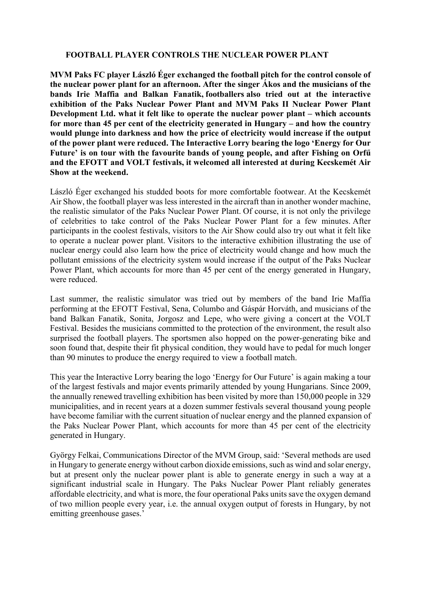## **FOOTBALL PLAYER CONTROLS THE NUCLEAR POWER PLANT**

**MVM Paks FC player László Éger exchanged the football pitch for the control console of the nuclear power plant for an afternoon. After the singer Ákos and the musicians of the bands Irie Maffia and Balkan Fanatik, footballers also tried out at the interactive exhibition of the Paks Nuclear Power Plant and MVM Paks II Nuclear Power Plant Development Ltd. what it felt like to operate the nuclear power plant – which accounts for more than 45 per cent of the electricity generated in Hungary – and how the country would plunge into darkness and how the price of electricity would increase if the output of the power plant were reduced. The Interactive Lorry bearing the logo 'Energy for Our Future' is on tour with the favourite bands of young people, and after Fishing on Orfű and the EFOTT and VOLT festivals, it welcomed all interested at during Kecskemét Air Show at the weekend.**

László Éger exchanged his studded boots for more comfortable footwear. At the Kecskemét Air Show, the football player was less interested in the aircraft than in another wonder machine, the realistic simulator of the Paks Nuclear Power Plant. Of course, it is not only the privilege of celebrities to take control of the Paks Nuclear Power Plant for a few minutes. After participants in the coolest festivals, visitors to the Air Show could also try out what it felt like to operate a nuclear power plant. Visitors to the interactive exhibition illustrating the use of nuclear energy could also learn how the price of electricity would change and how much the pollutant emissions of the electricity system would increase if the output of the Paks Nuclear Power Plant, which accounts for more than 45 per cent of the energy generated in Hungary, were reduced.

Last summer, the realistic simulator was tried out by members of the band Irie Maffia performing at the EFOTT Festival, Sena, Columbo and Gáspár Horváth, and musicians of the band Balkan Fanatik, Sonita, Jorgosz and Lepe, who were giving a concert at the VOLT Festival. Besides the musicians committed to the protection of the environment, the result also surprised the football players. The sportsmen also hopped on the power-generating bike and soon found that, despite their fit physical condition, they would have to pedal for much longer than 90 minutes to produce the energy required to view a football match.

This year the Interactive Lorry bearing the logo 'Energy for Our Future' is again making a tour of the largest festivals and major events primarily attended by young Hungarians. Since 2009, the annually renewed travelling exhibition has been visited by more than 150,000 people in 329 municipalities, and in recent years at a dozen summer festivals several thousand young people have become familiar with the current situation of nuclear energy and the planned expansion of the Paks Nuclear Power Plant, which accounts for more than 45 per cent of the electricity generated in Hungary.

György Felkai, Communications Director of the MVM Group, said: 'Several methods are used in Hungary to generate energy without carbon dioxide emissions, such as wind and solar energy, but at present only the nuclear power plant is able to generate energy in such a way at a significant industrial scale in Hungary. The Paks Nuclear Power Plant reliably generates affordable electricity, and what is more, the four operational Paks units save the oxygen demand of two million people every year, i.e. the annual oxygen output of forests in Hungary, by not emitting greenhouse gases.'